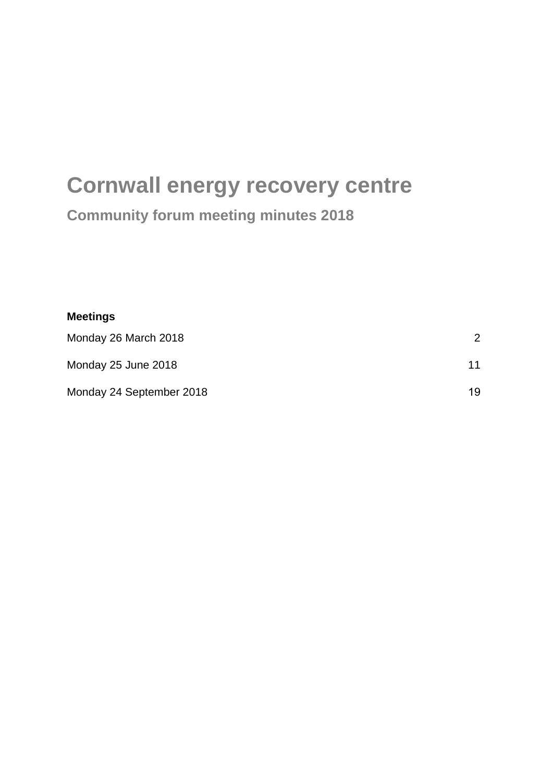# **Cornwall energy recovery centre**

## **Community forum meeting minutes 2018**

| <b>Meetings</b>          |    |
|--------------------------|----|
| Monday 26 March 2018     | 2  |
| Monday 25 June 2018      | 11 |
| Monday 24 September 2018 | 19 |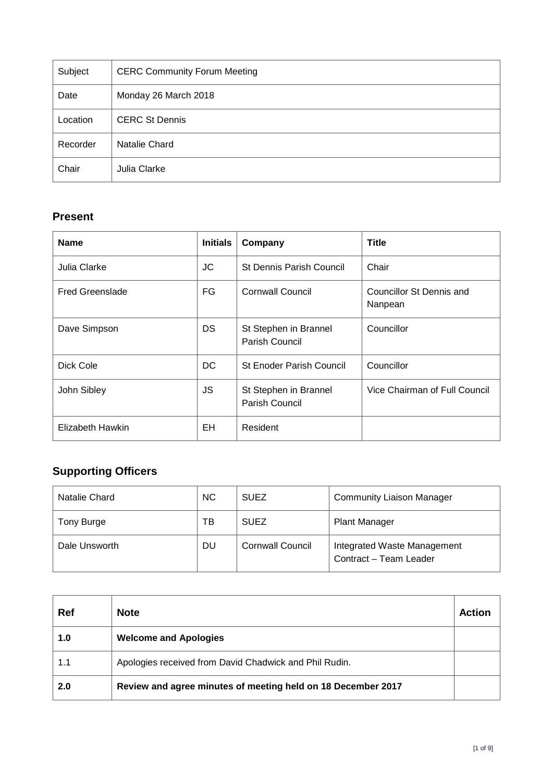<span id="page-1-0"></span>

| Subject  | <b>CERC Community Forum Meeting</b> |
|----------|-------------------------------------|
| Date     | Monday 26 March 2018                |
| Location | <b>CERC St Dennis</b>               |
| Recorder | Natalie Chard                       |
| Chair    | Julia Clarke                        |

## **Present**

| <b>Name</b>            | <b>Initials</b> | Company                                 | <b>Title</b>                        |
|------------------------|-----------------|-----------------------------------------|-------------------------------------|
| Julia Clarke           | JC              | <b>St Dennis Parish Council</b>         | Chair                               |
| <b>Fred Greenslade</b> | FG              | <b>Cornwall Council</b>                 | Councillor St Dennis and<br>Nanpean |
| Dave Simpson           | DS              | St Stephen in Brannel<br>Parish Council | Councillor                          |
| Dick Cole              | DC.             | <b>St Enoder Parish Council</b>         | Councillor                          |
| John Sibley            | JS              | St Stephen in Brannel<br>Parish Council | Vice Chairman of Full Council       |
| Elizabeth Hawkin       | EH              | Resident                                |                                     |

## **Supporting Officers**

| Natalie Chard | <b>NC</b> | <b>SUEZ</b>             | <b>Community Liaison Manager</b>                      |
|---------------|-----------|-------------------------|-------------------------------------------------------|
| Tony Burge    | ΤВ        | <b>SUEZ</b>             | <b>Plant Manager</b>                                  |
| Dale Unsworth | DU        | <b>Cornwall Council</b> | Integrated Waste Management<br>Contract - Team Leader |

| Ref | <b>Note</b>                                                  | Action |
|-----|--------------------------------------------------------------|--------|
| 1.0 | <b>Welcome and Apologies</b>                                 |        |
| 1.1 | Apologies received from David Chadwick and Phil Rudin.       |        |
| 2.0 | Review and agree minutes of meeting held on 18 December 2017 |        |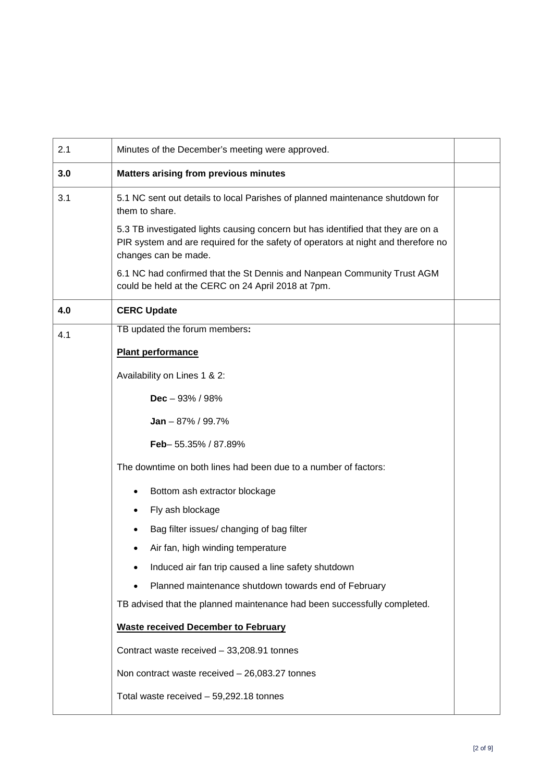| 2.1 | Minutes of the December's meeting were approved.                                                                                                                                              |  |
|-----|-----------------------------------------------------------------------------------------------------------------------------------------------------------------------------------------------|--|
| 3.0 | <b>Matters arising from previous minutes</b>                                                                                                                                                  |  |
| 3.1 | 5.1 NC sent out details to local Parishes of planned maintenance shutdown for<br>them to share.                                                                                               |  |
|     | 5.3 TB investigated lights causing concern but has identified that they are on a<br>PIR system and are required for the safety of operators at night and therefore no<br>changes can be made. |  |
|     | 6.1 NC had confirmed that the St Dennis and Nanpean Community Trust AGM<br>could be held at the CERC on 24 April 2018 at 7pm.                                                                 |  |
| 4.0 | <b>CERC Update</b>                                                                                                                                                                            |  |
| 4.1 | TB updated the forum members:                                                                                                                                                                 |  |
|     | <b>Plant performance</b>                                                                                                                                                                      |  |
|     | Availability on Lines 1 & 2:                                                                                                                                                                  |  |
|     | Dec $-93% / 98%$                                                                                                                                                                              |  |
|     | <b>Jan</b> $-87\%$ / 99.7%                                                                                                                                                                    |  |
|     | Feb-55.35% / 87.89%                                                                                                                                                                           |  |
|     | The downtime on both lines had been due to a number of factors:                                                                                                                               |  |
|     | Bottom ash extractor blockage                                                                                                                                                                 |  |
|     | Fly ash blockage                                                                                                                                                                              |  |
|     | Bag filter issues/ changing of bag filter                                                                                                                                                     |  |
|     | Air fan, high winding temperature                                                                                                                                                             |  |
|     | Induced air fan trip caused a line safety shutdown                                                                                                                                            |  |
|     | Planned maintenance shutdown towards end of February                                                                                                                                          |  |
|     | TB advised that the planned maintenance had been successfully completed.                                                                                                                      |  |
|     | <b>Waste received December to February</b>                                                                                                                                                    |  |
|     | Contract waste received - 33,208.91 tonnes                                                                                                                                                    |  |
|     | Non contract waste received $-26,083.27$ tonnes                                                                                                                                               |  |
|     | Total waste received - 59,292.18 tonnes                                                                                                                                                       |  |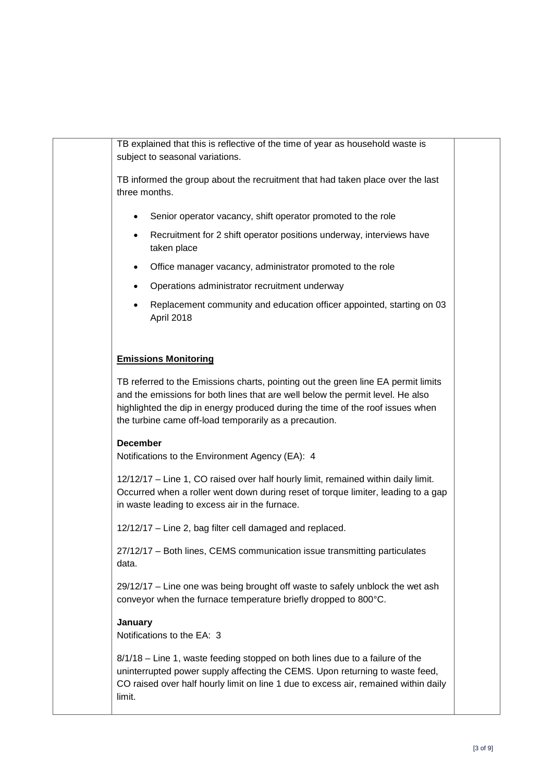TB explained that this is reflective of the time of year as household waste is subject to seasonal variations. TB informed the group about the recruitment that had taken place over the last three months. Senior operator vacancy, shift operator promoted to the role • Recruitment for 2 shift operator positions underway, interviews have taken place • Office manager vacancy, administrator promoted to the role • Operations administrator recruitment underway • Replacement community and education officer appointed, starting on 03 April 2018 **Emissions Monitoring** TB referred to the Emissions charts, pointing out the green line EA permit limits and the emissions for both lines that are well below the permit level. He also highlighted the dip in energy produced during the time of the roof issues when the turbine came off-load temporarily as a precaution. **December** Notifications to the Environment Agency (EA): 4 12/12/17 – Line 1, CO raised over half hourly limit, remained within daily limit. Occurred when a roller went down during reset of torque limiter, leading to a gap in waste leading to excess air in the furnace. 12/12/17 – Line 2, bag filter cell damaged and replaced. 27/12/17 – Both lines, CEMS communication issue transmitting particulates data. 29/12/17 – Line one was being brought off waste to safely unblock the wet ash conveyor when the furnace temperature briefly dropped to 800°C. **January** Notifications to the EA: 3 8/1/18 – Line 1, waste feeding stopped on both lines due to a failure of the uninterrupted power supply affecting the CEMS. Upon returning to waste feed, CO raised over half hourly limit on line 1 due to excess air, remained within daily limit.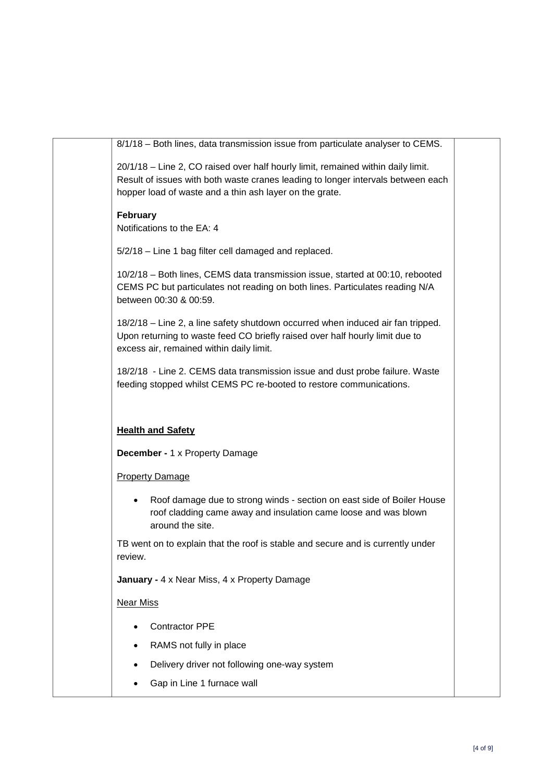|                            | 8/1/18 - Both lines, data transmission issue from particulate analyser to CEMS.  |
|----------------------------|----------------------------------------------------------------------------------|
|                            | 20/1/18 - Line 2, CO raised over half hourly limit, remained within daily limit. |
|                            | Result of issues with both waste cranes leading to longer intervals between each |
|                            | hopper load of waste and a thin ash layer on the grate.                          |
|                            |                                                                                  |
| February                   |                                                                                  |
| Notifications to the EA: 4 |                                                                                  |
|                            |                                                                                  |
|                            | 5/2/18 - Line 1 bag filter cell damaged and replaced.                            |
|                            |                                                                                  |
|                            | 10/2/18 - Both lines, CEMS data transmission issue, started at 00:10, rebooted   |
|                            | CEMS PC but particulates not reading on both lines. Particulates reading N/A     |
| between 00:30 & 00:59.     |                                                                                  |
|                            | 18/2/18 - Line 2, a line safety shutdown occurred when induced air fan tripped.  |
|                            | Upon returning to waste feed CO briefly raised over half hourly limit due to     |
|                            | excess air, remained within daily limit.                                         |
|                            |                                                                                  |
|                            | 18/2/18 - Line 2. CEMS data transmission issue and dust probe failure. Waste     |
|                            | feeding stopped whilst CEMS PC re-booted to restore communications.              |
|                            |                                                                                  |
|                            |                                                                                  |
|                            |                                                                                  |
| <b>Health and Safety</b>   |                                                                                  |
|                            | <b>December - 1 x Property Damage</b>                                            |
|                            |                                                                                  |
| <b>Property Damage</b>     |                                                                                  |
|                            |                                                                                  |
|                            | Roof damage due to strong winds - section on east side of Boiler House           |
|                            | roof cladding came away and insulation came loose and was blown                  |
|                            | around the site.                                                                 |
|                            | TB went on to explain that the roof is stable and secure and is currently under  |
| review.                    |                                                                                  |
|                            |                                                                                  |
|                            | January - 4 x Near Miss, 4 x Property Damage                                     |
|                            |                                                                                  |
| <b>Near Miss</b>           |                                                                                  |
|                            |                                                                                  |
|                            | <b>Contractor PPE</b>                                                            |
|                            | RAMS not fully in place                                                          |
|                            | Delivery driver not following one-way system                                     |
|                            |                                                                                  |
|                            | Gap in Line 1 furnace wall                                                       |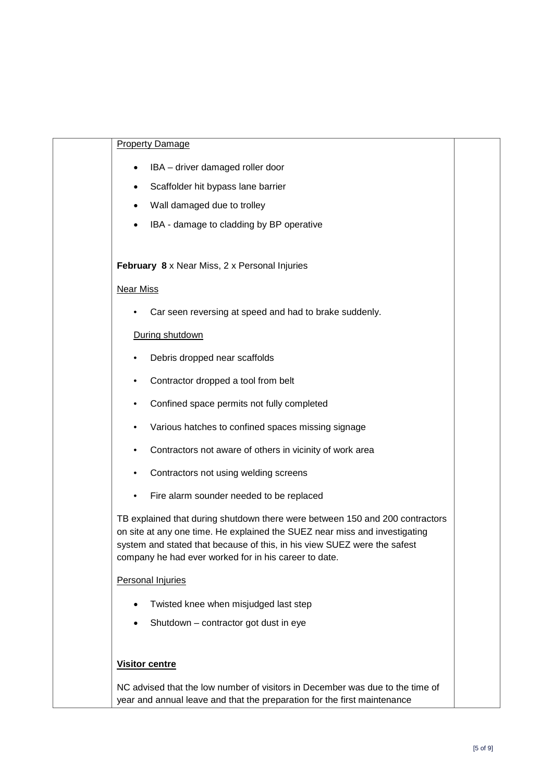|                  | <b>Property Damage</b>                                                                                                                                                                                                                                                                          |  |
|------------------|-------------------------------------------------------------------------------------------------------------------------------------------------------------------------------------------------------------------------------------------------------------------------------------------------|--|
|                  | IBA - driver damaged roller door                                                                                                                                                                                                                                                                |  |
|                  | Scaffolder hit bypass lane barrier                                                                                                                                                                                                                                                              |  |
|                  | Wall damaged due to trolley                                                                                                                                                                                                                                                                     |  |
|                  | IBA - damage to cladding by BP operative                                                                                                                                                                                                                                                        |  |
|                  |                                                                                                                                                                                                                                                                                                 |  |
|                  | February 8 x Near Miss, 2 x Personal Injuries                                                                                                                                                                                                                                                   |  |
| <b>Near Miss</b> |                                                                                                                                                                                                                                                                                                 |  |
|                  | Car seen reversing at speed and had to brake suddenly.                                                                                                                                                                                                                                          |  |
|                  | During shutdown                                                                                                                                                                                                                                                                                 |  |
|                  | Debris dropped near scaffolds                                                                                                                                                                                                                                                                   |  |
|                  | Contractor dropped a tool from belt                                                                                                                                                                                                                                                             |  |
|                  | Confined space permits not fully completed                                                                                                                                                                                                                                                      |  |
|                  | Various hatches to confined spaces missing signage                                                                                                                                                                                                                                              |  |
| ٠                | Contractors not aware of others in vicinity of work area                                                                                                                                                                                                                                        |  |
| ٠                | Contractors not using welding screens                                                                                                                                                                                                                                                           |  |
| ٠                | Fire alarm sounder needed to be replaced                                                                                                                                                                                                                                                        |  |
|                  | TB explained that during shutdown there were between 150 and 200 contractors<br>on site at any one time. He explained the SUEZ near miss and investigating<br>system and stated that because of this, in his view SUEZ were the safest<br>company he had ever worked for in his career to date. |  |
|                  | <b>Personal Injuries</b>                                                                                                                                                                                                                                                                        |  |
|                  | Twisted knee when misjudged last step                                                                                                                                                                                                                                                           |  |
|                  | Shutdown - contractor got dust in eye                                                                                                                                                                                                                                                           |  |
|                  |                                                                                                                                                                                                                                                                                                 |  |
|                  | <b>Visitor centre</b>                                                                                                                                                                                                                                                                           |  |
|                  | NC advised that the low number of visitors in December was due to the time of<br>year and annual leave and that the preparation for the first maintenance                                                                                                                                       |  |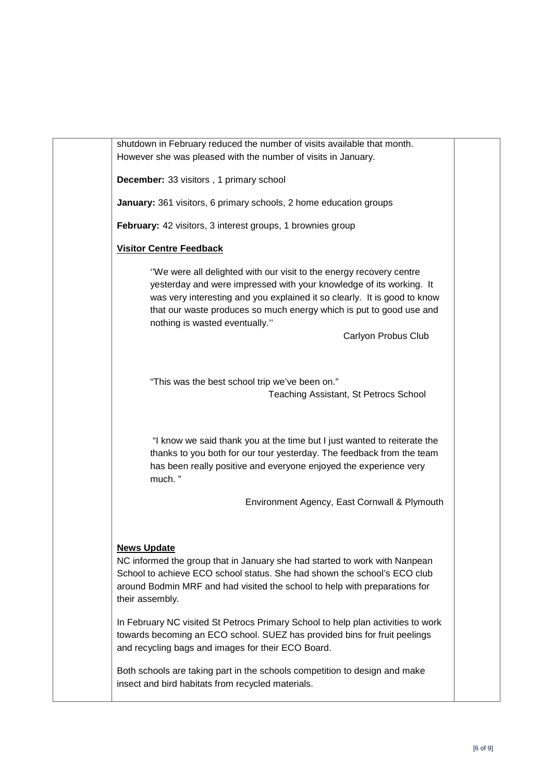shutdown in February reduced the number of visits available that month. However she was pleased with the number of visits in January. **December:** 33 visitors , 1 primary school **January:** 361 visitors, 6 primary schools, 2 home education groups **February:** 42 visitors, 3 interest groups, 1 brownies group **Visitor Centre Feedback** ''We were all delighted with our visit to the energy recovery centre yesterday and were impressed with your knowledge of its working. It was very interesting and you explained it so clearly. It is good to know that our waste produces so much energy which is put to good use and nothing is wasted eventually.'' Carlyon Probus Club "This was the best school trip we've been on." Teaching Assistant, St Petrocs School "I know we said thank you at the time but I just wanted to reiterate the thanks to you both for our tour yesterday. The feedback from the team has been really positive and everyone enjoyed the experience very much. " Environment Agency, East Cornwall & Plymouth **News Update** NC informed the group that in January she had started to work with Nanpean School to achieve ECO school status. She had shown the school's ECO club around Bodmin MRF and had visited the school to help with preparations for their assembly. In February NC visited St Petrocs Primary School to help plan activities to work towards becoming an ECO school. SUEZ has provided bins for fruit peelings and recycling bags and images for their ECO Board. Both schools are taking part in the schools competition to design and make insect and bird habitats from recycled materials.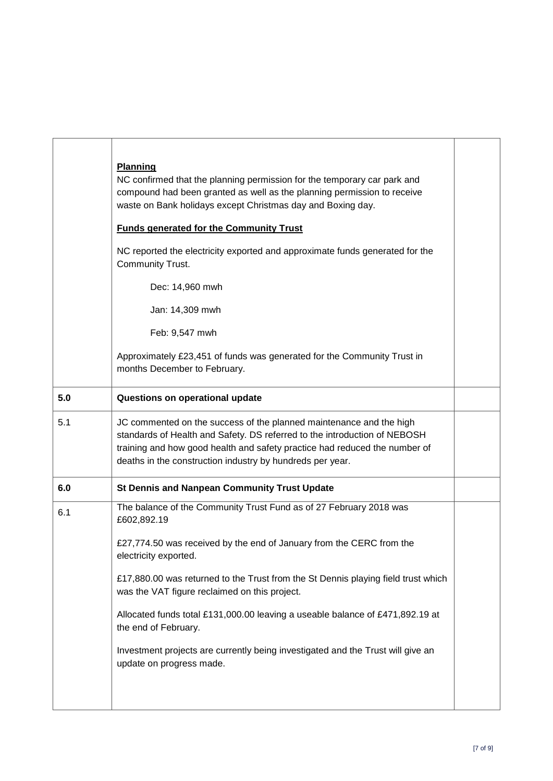|     | <b>Planning</b><br>NC confirmed that the planning permission for the temporary car park and<br>compound had been granted as well as the planning permission to receive<br>waste on Bank holidays except Christmas day and Boxing day.<br><b>Funds generated for the Community Trust</b><br>NC reported the electricity exported and approximate funds generated for the<br>Community Trust.<br>Dec: 14,960 mwh<br>Jan: 14,309 mwh<br>Feb: 9,547 mwh<br>Approximately £23,451 of funds was generated for the Community Trust in<br>months December to February. |  |
|-----|----------------------------------------------------------------------------------------------------------------------------------------------------------------------------------------------------------------------------------------------------------------------------------------------------------------------------------------------------------------------------------------------------------------------------------------------------------------------------------------------------------------------------------------------------------------|--|
| 5.0 | Questions on operational update                                                                                                                                                                                                                                                                                                                                                                                                                                                                                                                                |  |
| 5.1 | JC commented on the success of the planned maintenance and the high<br>standards of Health and Safety. DS referred to the introduction of NEBOSH<br>training and how good health and safety practice had reduced the number of<br>deaths in the construction industry by hundreds per year.                                                                                                                                                                                                                                                                    |  |
| 6.0 | St Dennis and Nanpean Community Trust Update                                                                                                                                                                                                                                                                                                                                                                                                                                                                                                                   |  |
| 6.1 | The balance of the Community Trust Fund as of 27 February 2018 was<br>£602,892.19<br>£27,774.50 was received by the end of January from the CERC from the<br>electricity exported.<br>£17,880.00 was returned to the Trust from the St Dennis playing field trust which<br>was the VAT figure reclaimed on this project.<br>Allocated funds total £131,000.00 leaving a useable balance of £471,892.19 at<br>the end of February.<br>Investment projects are currently being investigated and the Trust will give an<br>update on progress made.               |  |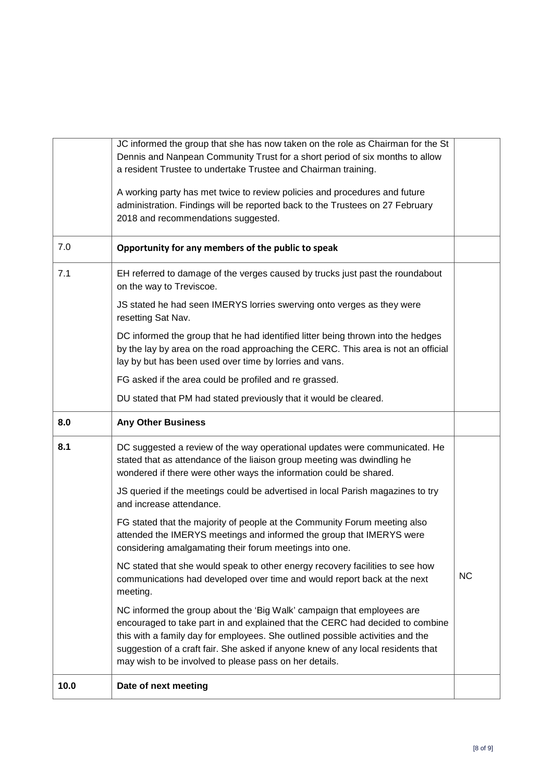|      | JC informed the group that she has now taken on the role as Chairman for the St<br>Dennis and Nanpean Community Trust for a short period of six months to allow<br>a resident Trustee to undertake Trustee and Chairman training.                                                                                                                                                       |           |
|------|-----------------------------------------------------------------------------------------------------------------------------------------------------------------------------------------------------------------------------------------------------------------------------------------------------------------------------------------------------------------------------------------|-----------|
|      | A working party has met twice to review policies and procedures and future<br>administration. Findings will be reported back to the Trustees on 27 February<br>2018 and recommendations suggested.                                                                                                                                                                                      |           |
| 7.0  | Opportunity for any members of the public to speak                                                                                                                                                                                                                                                                                                                                      |           |
| 7.1  | EH referred to damage of the verges caused by trucks just past the roundabout<br>on the way to Treviscoe.                                                                                                                                                                                                                                                                               |           |
|      | JS stated he had seen IMERYS lorries swerving onto verges as they were<br>resetting Sat Nav.                                                                                                                                                                                                                                                                                            |           |
|      | DC informed the group that he had identified litter being thrown into the hedges<br>by the lay by area on the road approaching the CERC. This area is not an official<br>lay by but has been used over time by lorries and vans.                                                                                                                                                        |           |
|      | FG asked if the area could be profiled and re grassed.                                                                                                                                                                                                                                                                                                                                  |           |
|      | DU stated that PM had stated previously that it would be cleared.                                                                                                                                                                                                                                                                                                                       |           |
| 8.0  | <b>Any Other Business</b>                                                                                                                                                                                                                                                                                                                                                               |           |
| 8.1  | DC suggested a review of the way operational updates were communicated. He<br>stated that as attendance of the liaison group meeting was dwindling he<br>wondered if there were other ways the information could be shared.                                                                                                                                                             |           |
|      | JS queried if the meetings could be advertised in local Parish magazines to try<br>and increase attendance.                                                                                                                                                                                                                                                                             |           |
|      | FG stated that the majority of people at the Community Forum meeting also<br>attended the IMERYS meetings and informed the group that IMERYS were<br>considering amalgamating their forum meetings into one.                                                                                                                                                                            |           |
|      | NC stated that she would speak to other energy recovery facilities to see how<br>communications had developed over time and would report back at the next<br>meeting.                                                                                                                                                                                                                   | <b>NC</b> |
|      | NC informed the group about the 'Big Walk' campaign that employees are<br>encouraged to take part in and explained that the CERC had decided to combine<br>this with a family day for employees. She outlined possible activities and the<br>suggestion of a craft fair. She asked if anyone knew of any local residents that<br>may wish to be involved to please pass on her details. |           |
| 10.0 | Date of next meeting                                                                                                                                                                                                                                                                                                                                                                    |           |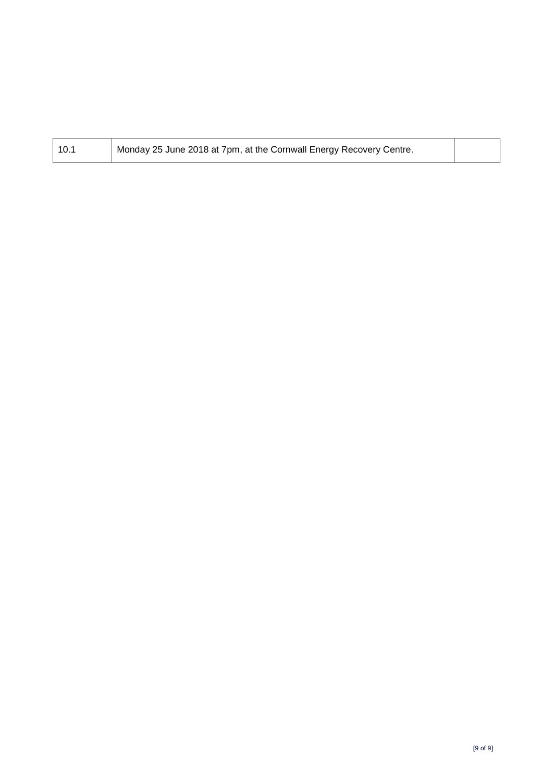| Monday 25 June 2018 at 7pm, at the Cornwall Energy Recovery Centre.<br>10.1 |  |
|-----------------------------------------------------------------------------|--|
|-----------------------------------------------------------------------------|--|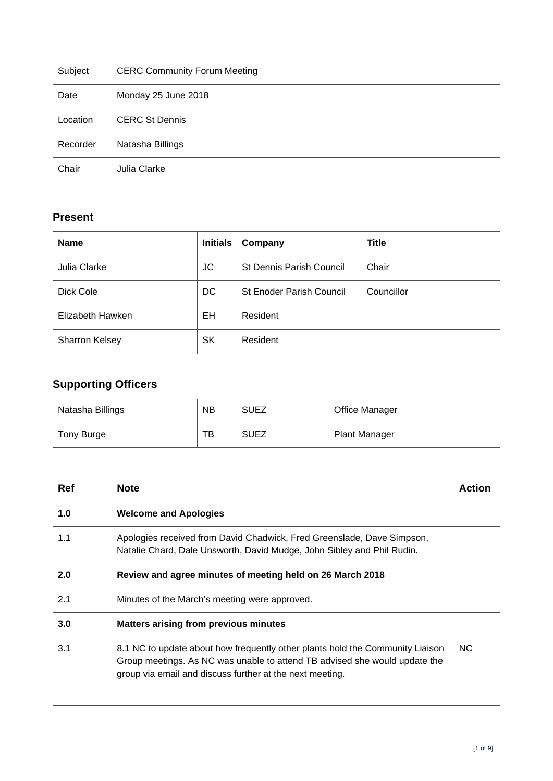<span id="page-10-0"></span>

| Subject  | <b>CERC Community Forum Meeting</b> |
|----------|-------------------------------------|
| Date     | Monday 25 June 2018                 |
| Location | <b>CERC St Dennis</b>               |
| Recorder | Natasha Billings                    |
| Chair    | Julia Clarke                        |

## **Present**

| <b>Name</b>           | <b>Initials</b> | Company                         | <b>Title</b> |
|-----------------------|-----------------|---------------------------------|--------------|
| Julia Clarke          | JC              | <b>St Dennis Parish Council</b> | Chair        |
| Dick Cole             | DC              | <b>St Enoder Parish Council</b> | Councillor   |
| Elizabeth Hawken      | EH              | Resident                        |              |
| <b>Sharron Kelsey</b> | <b>SK</b>       | Resident                        |              |

## **Supporting Officers**

| Natasha Billings | <b>NB</b> | <b>SUEZ</b> | <b>Office Manager</b> |
|------------------|-----------|-------------|-----------------------|
| Tony Burge       | тв        | <b>SUEZ</b> | <b>Plant Manager</b>  |

| Ref | <b>Note</b>                                                                                                                                                                                                             | Action |
|-----|-------------------------------------------------------------------------------------------------------------------------------------------------------------------------------------------------------------------------|--------|
| 1.0 | <b>Welcome and Apologies</b>                                                                                                                                                                                            |        |
| 1.1 | Apologies received from David Chadwick, Fred Greenslade, Dave Simpson,<br>Natalie Chard, Dale Unsworth, David Mudge, John Sibley and Phil Rudin.                                                                        |        |
| 2.0 | Review and agree minutes of meeting held on 26 March 2018                                                                                                                                                               |        |
| 2.1 | Minutes of the March's meeting were approved.                                                                                                                                                                           |        |
| 3.0 | <b>Matters arising from previous minutes</b>                                                                                                                                                                            |        |
| 3.1 | 8.1 NC to update about how frequently other plants hold the Community Liaison<br>Group meetings. As NC was unable to attend TB advised she would update the<br>group via email and discuss further at the next meeting. | NC.    |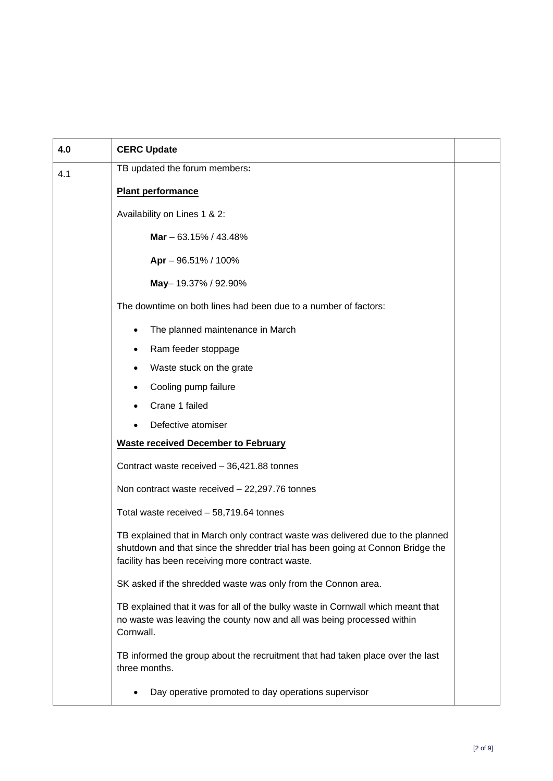| 4.0 | <b>CERC Update</b>                                                                                                                                                                                                    |  |  |
|-----|-----------------------------------------------------------------------------------------------------------------------------------------------------------------------------------------------------------------------|--|--|
| 4.1 | TB updated the forum members:                                                                                                                                                                                         |  |  |
|     | <b>Plant performance</b>                                                                                                                                                                                              |  |  |
|     | Availability on Lines 1 & 2:                                                                                                                                                                                          |  |  |
|     | Mar $-63.15\%$ / 43.48%                                                                                                                                                                                               |  |  |
|     | Apr - 96.51% / 100%                                                                                                                                                                                                   |  |  |
|     | May-19.37% / 92.90%                                                                                                                                                                                                   |  |  |
|     | The downtime on both lines had been due to a number of factors:                                                                                                                                                       |  |  |
|     | The planned maintenance in March                                                                                                                                                                                      |  |  |
|     | Ram feeder stoppage<br>$\bullet$                                                                                                                                                                                      |  |  |
|     | Waste stuck on the grate                                                                                                                                                                                              |  |  |
|     | Cooling pump failure                                                                                                                                                                                                  |  |  |
|     | Crane 1 failed                                                                                                                                                                                                        |  |  |
|     | Defective atomiser                                                                                                                                                                                                    |  |  |
|     | <b>Waste received December to February</b>                                                                                                                                                                            |  |  |
|     | Contract waste received - 36,421.88 tonnes                                                                                                                                                                            |  |  |
|     | Non contract waste received $-22,297.76$ tonnes                                                                                                                                                                       |  |  |
|     | Total waste received - 58,719.64 tonnes                                                                                                                                                                               |  |  |
|     | TB explained that in March only contract waste was delivered due to the planned<br>shutdown and that since the shredder trial has been going at Connon Bridge the<br>facility has been receiving more contract waste. |  |  |
|     | SK asked if the shredded waste was only from the Connon area.                                                                                                                                                         |  |  |
|     | TB explained that it was for all of the bulky waste in Cornwall which meant that<br>no waste was leaving the county now and all was being processed within<br>Cornwall.                                               |  |  |
|     | TB informed the group about the recruitment that had taken place over the last<br>three months.                                                                                                                       |  |  |
|     | Day operative promoted to day operations supervisor                                                                                                                                                                   |  |  |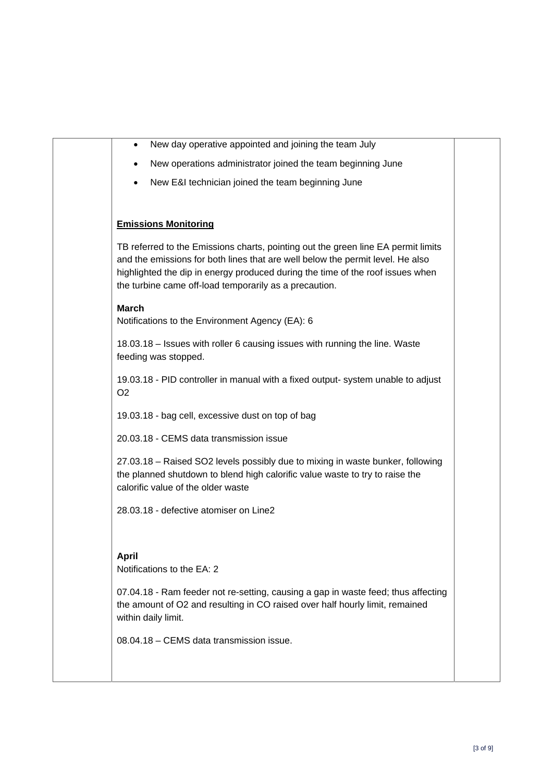| New day operative appointed and joining the team July<br>٠                                                                                                                                                                                                                                                      |  |
|-----------------------------------------------------------------------------------------------------------------------------------------------------------------------------------------------------------------------------------------------------------------------------------------------------------------|--|
| New operations administrator joined the team beginning June<br>٠                                                                                                                                                                                                                                                |  |
| New E&I technician joined the team beginning June                                                                                                                                                                                                                                                               |  |
|                                                                                                                                                                                                                                                                                                                 |  |
| <b>Emissions Monitoring</b>                                                                                                                                                                                                                                                                                     |  |
| TB referred to the Emissions charts, pointing out the green line EA permit limits<br>and the emissions for both lines that are well below the permit level. He also<br>highlighted the dip in energy produced during the time of the roof issues when<br>the turbine came off-load temporarily as a precaution. |  |
| <b>March</b><br>Notifications to the Environment Agency (EA): 6                                                                                                                                                                                                                                                 |  |
| 18.03.18 - Issues with roller 6 causing issues with running the line. Waste<br>feeding was stopped.                                                                                                                                                                                                             |  |
| 19.03.18 - PID controller in manual with a fixed output- system unable to adjust<br>O <sub>2</sub>                                                                                                                                                                                                              |  |
| 19.03.18 - bag cell, excessive dust on top of bag                                                                                                                                                                                                                                                               |  |
| 20.03.18 - CEMS data transmission issue                                                                                                                                                                                                                                                                         |  |
| 27.03.18 - Raised SO2 levels possibly due to mixing in waste bunker, following<br>the planned shutdown to blend high calorific value waste to try to raise the<br>calorific value of the older waste                                                                                                            |  |
| 28.03.18 - defective atomiser on Line2                                                                                                                                                                                                                                                                          |  |
| April<br>Notifications to the EA: 2                                                                                                                                                                                                                                                                             |  |
| 07.04.18 - Ram feeder not re-setting, causing a gap in waste feed; thus affecting<br>the amount of O2 and resulting in CO raised over half hourly limit, remained<br>within daily limit.                                                                                                                        |  |
| 08.04.18 – CEMS data transmission issue.                                                                                                                                                                                                                                                                        |  |
|                                                                                                                                                                                                                                                                                                                 |  |
|                                                                                                                                                                                                                                                                                                                 |  |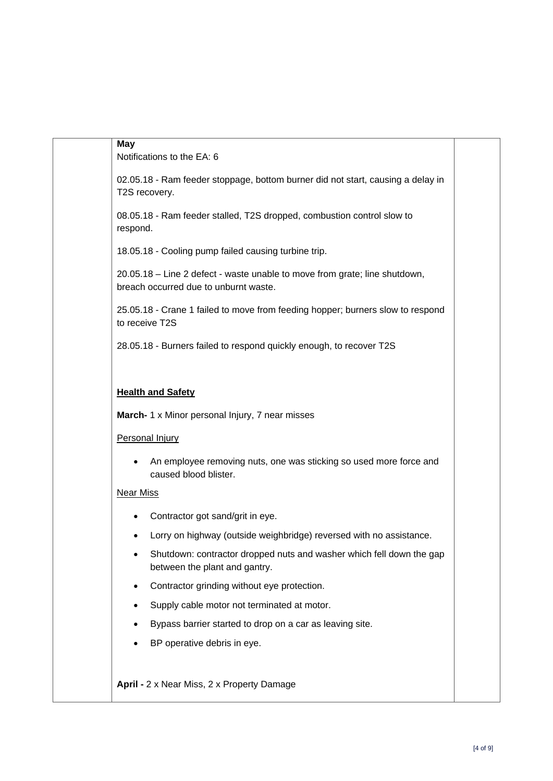| <b>May</b>       | Notifications to the EA: 6                                                                                          |
|------------------|---------------------------------------------------------------------------------------------------------------------|
|                  | 02.05.18 - Ram feeder stoppage, bottom burner did not start, causing a delay in<br>T2S recovery.                    |
| respond.         | 08.05.18 - Ram feeder stalled, T2S dropped, combustion control slow to                                              |
|                  | 18.05.18 - Cooling pump failed causing turbine trip.                                                                |
|                  | 20.05.18 - Line 2 defect - waste unable to move from grate; line shutdown,<br>breach occurred due to unburnt waste. |
|                  | 25.05.18 - Crane 1 failed to move from feeding hopper; burners slow to respond<br>to receive T2S                    |
|                  | 28.05.18 - Burners failed to respond quickly enough, to recover T2S                                                 |
|                  |                                                                                                                     |
|                  |                                                                                                                     |
|                  | <b>Health and Safety</b>                                                                                            |
|                  | March- 1 x Minor personal Injury, 7 near misses                                                                     |
|                  | Personal Injury                                                                                                     |
|                  | An employee removing nuts, one was sticking so used more force and<br>caused blood blister.                         |
| <b>Near Miss</b> |                                                                                                                     |
| ٠                | Contractor got sand/grit in eye.                                                                                    |
|                  | Lorry on highway (outside weighbridge) reversed with no assistance.                                                 |
|                  | Shutdown: contractor dropped nuts and washer which fell down the gap<br>between the plant and gantry.               |
|                  | Contractor grinding without eye protection.                                                                         |
|                  | Supply cable motor not terminated at motor.                                                                         |
|                  | Bypass barrier started to drop on a car as leaving site.                                                            |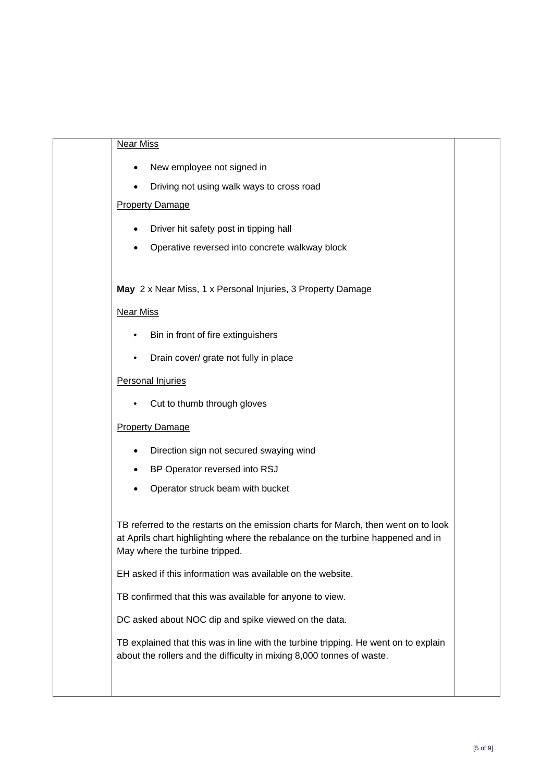| <b>Near Miss</b>                                                                                                                                                                                        |  |
|---------------------------------------------------------------------------------------------------------------------------------------------------------------------------------------------------------|--|
| New employee not signed in                                                                                                                                                                              |  |
| Driving not using walk ways to cross road                                                                                                                                                               |  |
| <b>Property Damage</b>                                                                                                                                                                                  |  |
| Driver hit safety post in tipping hall                                                                                                                                                                  |  |
| Operative reversed into concrete walkway block                                                                                                                                                          |  |
|                                                                                                                                                                                                         |  |
| May 2 x Near Miss, 1 x Personal Injuries, 3 Property Damage                                                                                                                                             |  |
| <b>Near Miss</b>                                                                                                                                                                                        |  |
| Bin in front of fire extinguishers                                                                                                                                                                      |  |
| Drain cover/ grate not fully in place<br>٠                                                                                                                                                              |  |
| <b>Personal Injuries</b>                                                                                                                                                                                |  |
| Cut to thumb through gloves                                                                                                                                                                             |  |
| <b>Property Damage</b>                                                                                                                                                                                  |  |
| Direction sign not secured swaying wind                                                                                                                                                                 |  |
| BP Operator reversed into RSJ                                                                                                                                                                           |  |
| Operator struck beam with bucket                                                                                                                                                                        |  |
|                                                                                                                                                                                                         |  |
| TB referred to the restarts on the emission charts for March, then went on to look<br>at Aprils chart highlighting where the rebalance on the turbine happened and in<br>May where the turbine tripped. |  |
| EH asked if this information was available on the website.                                                                                                                                              |  |
| TB confirmed that this was available for anyone to view.                                                                                                                                                |  |
| DC asked about NOC dip and spike viewed on the data.                                                                                                                                                    |  |
| TB explained that this was in line with the turbine tripping. He went on to explain<br>about the rollers and the difficulty in mixing 8,000 tonnes of waste.                                            |  |
|                                                                                                                                                                                                         |  |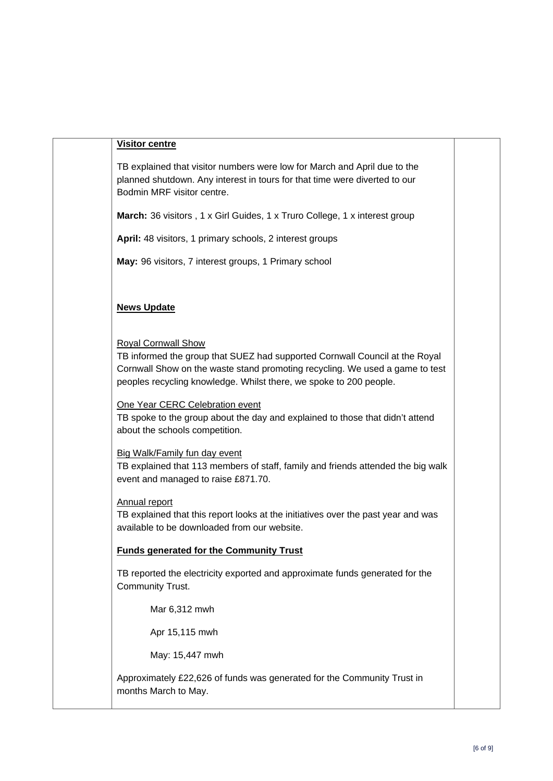#### **Visitor centre**

TB explained that visitor numbers were low for March and April due to the planned shutdown. Any interest in tours for that time were diverted to our Bodmin MRF visitor centre.

**March:** 36 visitors , 1 x Girl Guides, 1 x Truro College, 1 x interest group

**April:** 48 visitors, 1 primary schools, 2 interest groups

**May:** 96 visitors, 7 interest groups, 1 Primary school

#### **News Update**

Royal Cornwall Show

TB informed the group that SUEZ had supported Cornwall Council at the Royal Cornwall Show on the waste stand promoting recycling. We used a game to test peoples recycling knowledge. Whilst there, we spoke to 200 people.

One Year CERC Celebration event

TB spoke to the group about the day and explained to those that didn't attend about the schools competition.

Big Walk/Family fun day event

TB explained that 113 members of staff, family and friends attended the big walk event and managed to raise £871.70.

#### Annual report

TB explained that this report looks at the initiatives over the past year and was available to be downloaded from our website.

#### **Funds generated for the Community Trust**

TB reported the electricity exported and approximate funds generated for the Community Trust.

Mar 6,312 mwh

Apr 15,115 mwh

May: 15,447 mwh

Approximately £22,626 of funds was generated for the Community Trust in months March to May.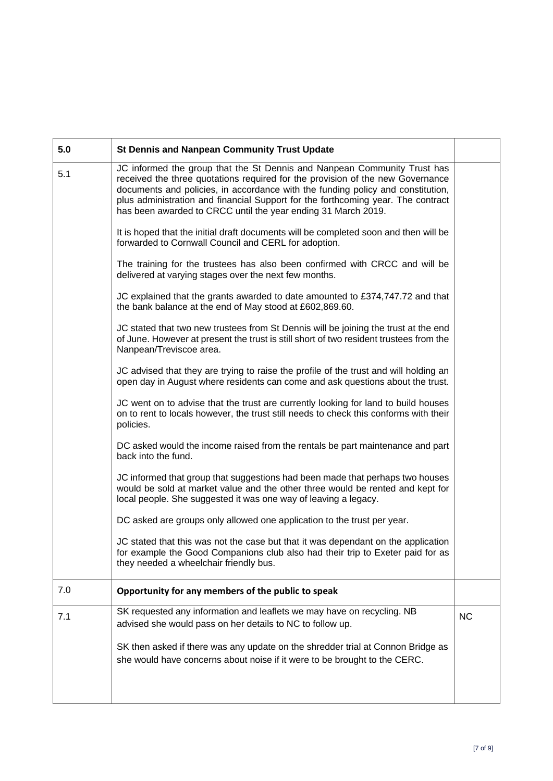| 5.0 | <b>St Dennis and Nanpean Community Trust Update</b>                                                                                                                                                                                                                                                                                                                                                |           |  |  |
|-----|----------------------------------------------------------------------------------------------------------------------------------------------------------------------------------------------------------------------------------------------------------------------------------------------------------------------------------------------------------------------------------------------------|-----------|--|--|
| 5.1 | JC informed the group that the St Dennis and Nanpean Community Trust has<br>received the three quotations required for the provision of the new Governance<br>documents and policies, in accordance with the funding policy and constitution,<br>plus administration and financial Support for the forthcoming year. The contract<br>has been awarded to CRCC until the year ending 31 March 2019. |           |  |  |
|     | It is hoped that the initial draft documents will be completed soon and then will be<br>forwarded to Cornwall Council and CERL for adoption.                                                                                                                                                                                                                                                       |           |  |  |
|     | The training for the trustees has also been confirmed with CRCC and will be<br>delivered at varying stages over the next few months.                                                                                                                                                                                                                                                               |           |  |  |
|     | JC explained that the grants awarded to date amounted to £374,747.72 and that<br>the bank balance at the end of May stood at £602,869.60.                                                                                                                                                                                                                                                          |           |  |  |
|     | JC stated that two new trustees from St Dennis will be joining the trust at the end<br>of June. However at present the trust is still short of two resident trustees from the<br>Nanpean/Treviscoe area.                                                                                                                                                                                           |           |  |  |
|     | JC advised that they are trying to raise the profile of the trust and will holding an<br>open day in August where residents can come and ask questions about the trust.                                                                                                                                                                                                                            |           |  |  |
|     | JC went on to advise that the trust are currently looking for land to build houses<br>on to rent to locals however, the trust still needs to check this conforms with their<br>policies.                                                                                                                                                                                                           |           |  |  |
|     | DC asked would the income raised from the rentals be part maintenance and part<br>back into the fund.                                                                                                                                                                                                                                                                                              |           |  |  |
|     | JC informed that group that suggestions had been made that perhaps two houses<br>would be sold at market value and the other three would be rented and kept for<br>local people. She suggested it was one way of leaving a legacy.                                                                                                                                                                 |           |  |  |
|     | DC asked are groups only allowed one application to the trust per year.                                                                                                                                                                                                                                                                                                                            |           |  |  |
|     | JC stated that this was not the case but that it was dependant on the application<br>for example the Good Companions club also had their trip to Exeter paid for as<br>they needed a wheelchair friendly bus.                                                                                                                                                                                      |           |  |  |
| 7.0 | Opportunity for any members of the public to speak                                                                                                                                                                                                                                                                                                                                                 |           |  |  |
| 7.1 | SK requested any information and leaflets we may have on recycling. NB<br>advised she would pass on her details to NC to follow up.                                                                                                                                                                                                                                                                | <b>NC</b> |  |  |
|     | SK then asked if there was any update on the shredder trial at Connon Bridge as<br>she would have concerns about noise if it were to be brought to the CERC.                                                                                                                                                                                                                                       |           |  |  |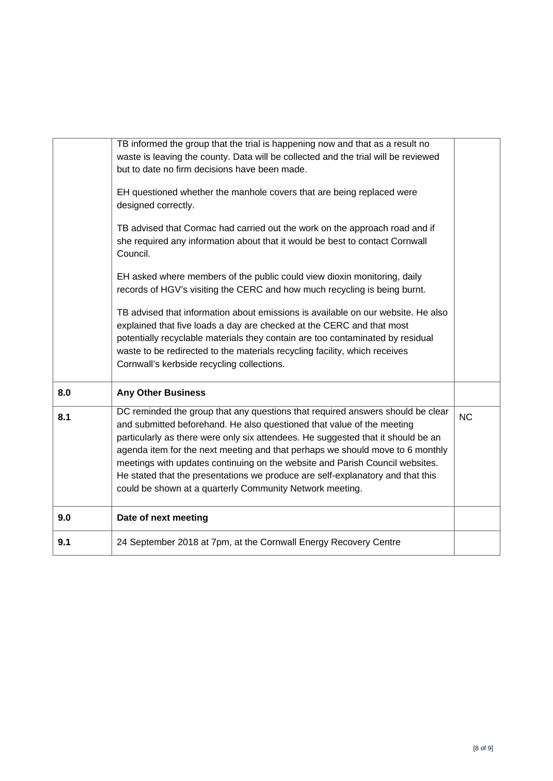|     | TB informed the group that the trial is happening now and that as a result no<br>waste is leaving the county. Data will be collected and the trial will be reviewed<br>but to date no firm decisions have been made.<br>EH questioned whether the manhole covers that are being replaced were<br>designed correctly.<br>TB advised that Cormac had carried out the work on the approach road and if<br>she required any information about that it would be best to contact Cornwall<br>Council.<br>EH asked where members of the public could view dioxin monitoring, daily<br>records of HGV's visiting the CERC and how much recycling is being burnt.<br>TB advised that information about emissions is available on our website. He also<br>explained that five loads a day are checked at the CERC and that most<br>potentially recyclable materials they contain are too contaminated by residual<br>waste to be redirected to the materials recycling facility, which receives<br>Cornwall's kerbside recycling collections. |           |
|-----|-------------------------------------------------------------------------------------------------------------------------------------------------------------------------------------------------------------------------------------------------------------------------------------------------------------------------------------------------------------------------------------------------------------------------------------------------------------------------------------------------------------------------------------------------------------------------------------------------------------------------------------------------------------------------------------------------------------------------------------------------------------------------------------------------------------------------------------------------------------------------------------------------------------------------------------------------------------------------------------------------------------------------------------|-----------|
| 8.0 | <b>Any Other Business</b>                                                                                                                                                                                                                                                                                                                                                                                                                                                                                                                                                                                                                                                                                                                                                                                                                                                                                                                                                                                                           |           |
| 8.1 | DC reminded the group that any questions that required answers should be clear<br>and submitted beforehand. He also questioned that value of the meeting<br>particularly as there were only six attendees. He suggested that it should be an<br>agenda item for the next meeting and that perhaps we should move to 6 monthly<br>meetings with updates continuing on the website and Parish Council websites.<br>He stated that the presentations we produce are self-explanatory and that this<br>could be shown at a quarterly Community Network meeting.                                                                                                                                                                                                                                                                                                                                                                                                                                                                         | <b>NC</b> |
| 9.0 | Date of next meeting                                                                                                                                                                                                                                                                                                                                                                                                                                                                                                                                                                                                                                                                                                                                                                                                                                                                                                                                                                                                                |           |
| 9.1 | 24 September 2018 at 7pm, at the Cornwall Energy Recovery Centre                                                                                                                                                                                                                                                                                                                                                                                                                                                                                                                                                                                                                                                                                                                                                                                                                                                                                                                                                                    |           |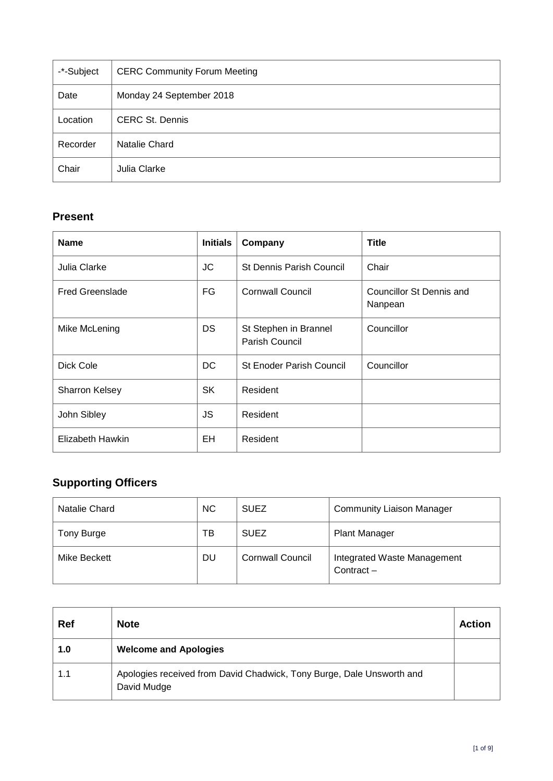<span id="page-18-0"></span>

| -*-Subject | <b>CERC Community Forum Meeting</b> |
|------------|-------------------------------------|
| Date       | Monday 24 September 2018            |
| Location   | <b>CERC St. Dennis</b>              |
| Recorder   | Natalie Chard                       |
| Chair      | Julia Clarke                        |

## **Present**

| <b>Name</b>            | <b>Initials</b> | Company                                 | <b>Title</b>                        |
|------------------------|-----------------|-----------------------------------------|-------------------------------------|
| Julia Clarke           | JC              | <b>St Dennis Parish Council</b>         | Chair                               |
| <b>Fred Greenslade</b> | FG              | <b>Cornwall Council</b>                 | Councillor St Dennis and<br>Nanpean |
| Mike McLening          | DS              | St Stephen in Brannel<br>Parish Council | Councillor                          |
| Dick Cole              | DC.             | <b>St Enoder Parish Council</b>         | Councillor                          |
| Sharron Kelsey         | <b>SK</b>       | Resident                                |                                     |
| John Sibley            | JS              | Resident                                |                                     |
| Elizabeth Hawkin       | EH              | Resident                                |                                     |

## **Supporting Officers**

| Natalie Chard | <b>NC</b> | <b>SUEZ</b>             | <b>Community Liaison Manager</b>            |
|---------------|-----------|-------------------------|---------------------------------------------|
| Tony Burge    | тв        | <b>SUEZ</b>             | <b>Plant Manager</b>                        |
| Mike Beckett  | DU        | <b>Cornwall Council</b> | Integrated Waste Management<br>Contract $-$ |

| Ref | <b>Note</b>                                                                          | <b>Action</b> |
|-----|--------------------------------------------------------------------------------------|---------------|
| 1.0 | <b>Welcome and Apologies</b>                                                         |               |
| 1.1 | Apologies received from David Chadwick, Tony Burge, Dale Unsworth and<br>David Mudge |               |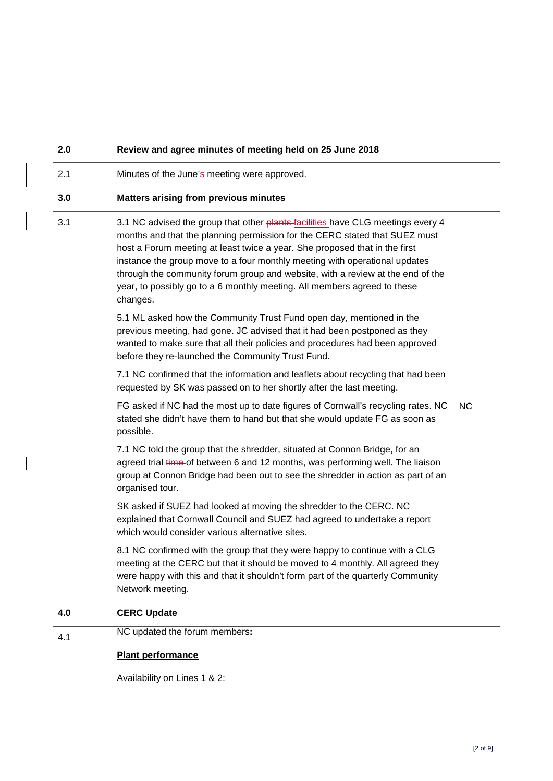| 2.0 | Review and agree minutes of meeting held on 25 June 2018                                                                                                                                                                                                                                                                                                                                                                                                                                            |           |
|-----|-----------------------------------------------------------------------------------------------------------------------------------------------------------------------------------------------------------------------------------------------------------------------------------------------------------------------------------------------------------------------------------------------------------------------------------------------------------------------------------------------------|-----------|
| 2.1 | Minutes of the June's meeting were approved.                                                                                                                                                                                                                                                                                                                                                                                                                                                        |           |
| 3.0 | <b>Matters arising from previous minutes</b>                                                                                                                                                                                                                                                                                                                                                                                                                                                        |           |
| 3.1 | 3.1 NC advised the group that other plants-facilities have CLG meetings every 4<br>months and that the planning permission for the CERC stated that SUEZ must<br>host a Forum meeting at least twice a year. She proposed that in the first<br>instance the group move to a four monthly meeting with operational updates<br>through the community forum group and website, with a review at the end of the<br>year, to possibly go to a 6 monthly meeting. All members agreed to these<br>changes. |           |
|     | 5.1 ML asked how the Community Trust Fund open day, mentioned in the<br>previous meeting, had gone. JC advised that it had been postponed as they<br>wanted to make sure that all their policies and procedures had been approved<br>before they re-launched the Community Trust Fund.                                                                                                                                                                                                              |           |
|     | 7.1 NC confirmed that the information and leaflets about recycling that had been<br>requested by SK was passed on to her shortly after the last meeting.                                                                                                                                                                                                                                                                                                                                            |           |
|     | FG asked if NC had the most up to date figures of Cornwall's recycling rates. NC<br>stated she didn't have them to hand but that she would update FG as soon as<br>possible.                                                                                                                                                                                                                                                                                                                        | <b>NC</b> |
|     | 7.1 NC told the group that the shredder, situated at Connon Bridge, for an<br>agreed trial time of between 6 and 12 months, was performing well. The liaison<br>group at Connon Bridge had been out to see the shredder in action as part of an<br>organised tour.                                                                                                                                                                                                                                  |           |
|     | SK asked if SUEZ had looked at moving the shredder to the CERC. NC<br>explained that Cornwall Council and SUEZ had agreed to undertake a report<br>which would consider various alternative sites.                                                                                                                                                                                                                                                                                                  |           |
|     | 8.1 NC confirmed with the group that they were happy to continue with a CLG<br>meeting at the CERC but that it should be moved to 4 monthly. All agreed they<br>were happy with this and that it shouldn't form part of the quarterly Community<br>Network meeting.                                                                                                                                                                                                                                 |           |
| 4.0 | <b>CERC Update</b>                                                                                                                                                                                                                                                                                                                                                                                                                                                                                  |           |
| 4.1 | NC updated the forum members:                                                                                                                                                                                                                                                                                                                                                                                                                                                                       |           |
|     | <b>Plant performance</b><br>Availability on Lines 1 & 2:                                                                                                                                                                                                                                                                                                                                                                                                                                            |           |
|     |                                                                                                                                                                                                                                                                                                                                                                                                                                                                                                     |           |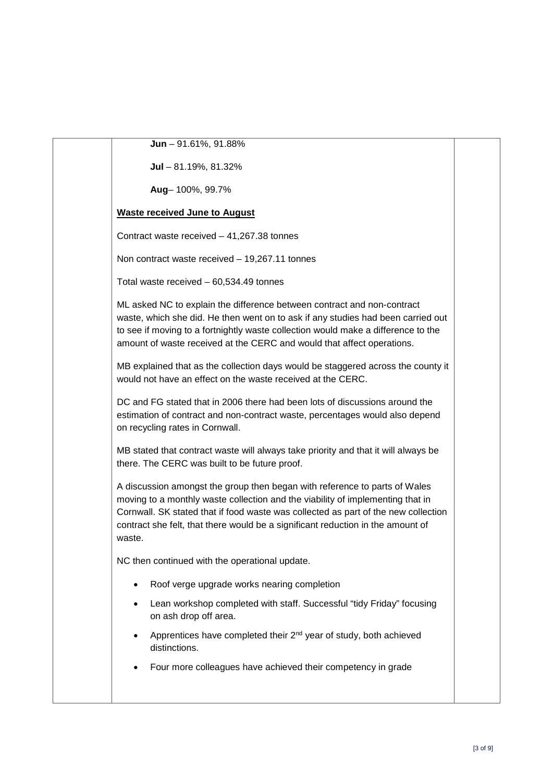| Jun - 91.61%, 91.88%                                                                                                                                                                                                                                                                                                                            |  |
|-------------------------------------------------------------------------------------------------------------------------------------------------------------------------------------------------------------------------------------------------------------------------------------------------------------------------------------------------|--|
| Jul $-81.19\%$ , 81.32%                                                                                                                                                                                                                                                                                                                         |  |
| Aug-100%, 99.7%                                                                                                                                                                                                                                                                                                                                 |  |
| <b>Waste received June to August</b>                                                                                                                                                                                                                                                                                                            |  |
| Contract waste received $-41,267.38$ tonnes                                                                                                                                                                                                                                                                                                     |  |
| Non contract waste received - 19,267.11 tonnes                                                                                                                                                                                                                                                                                                  |  |
| Total waste received $-60,534.49$ tonnes                                                                                                                                                                                                                                                                                                        |  |
| ML asked NC to explain the difference between contract and non-contract<br>waste, which she did. He then went on to ask if any studies had been carried out<br>to see if moving to a fortnightly waste collection would make a difference to the<br>amount of waste received at the CERC and would that affect operations.                      |  |
| MB explained that as the collection days would be staggered across the county it<br>would not have an effect on the waste received at the CERC.                                                                                                                                                                                                 |  |
| DC and FG stated that in 2006 there had been lots of discussions around the<br>estimation of contract and non-contract waste, percentages would also depend<br>on recycling rates in Cornwall.                                                                                                                                                  |  |
| MB stated that contract waste will always take priority and that it will always be<br>there. The CERC was built to be future proof.                                                                                                                                                                                                             |  |
| A discussion amongst the group then began with reference to parts of Wales<br>moving to a monthly waste collection and the viability of implementing that in<br>Cornwall. SK stated that if food waste was collected as part of the new collection<br>contract she felt, that there would be a significant reduction in the amount of<br>waste. |  |
| NC then continued with the operational update.                                                                                                                                                                                                                                                                                                  |  |
| Roof verge upgrade works nearing completion                                                                                                                                                                                                                                                                                                     |  |
| Lean workshop completed with staff. Successful "tidy Friday" focusing<br>٠<br>on ash drop off area.                                                                                                                                                                                                                                             |  |
| Apprentices have completed their 2 <sup>nd</sup> year of study, both achieved<br>distinctions.                                                                                                                                                                                                                                                  |  |
| Four more colleagues have achieved their competency in grade                                                                                                                                                                                                                                                                                    |  |
|                                                                                                                                                                                                                                                                                                                                                 |  |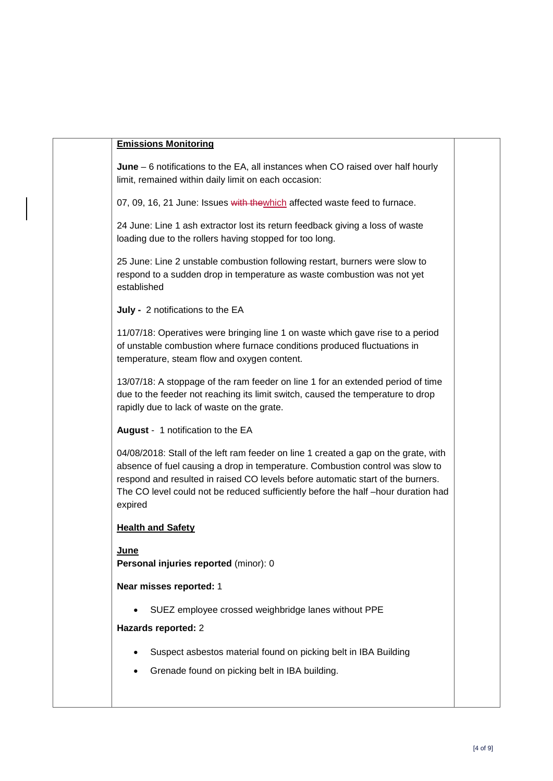#### **Emissions Monitoring**

**June** – 6 notifications to the EA, all instances when CO raised over half hourly limit, remained within daily limit on each occasion:

07, 09, 16, 21 June: Issues with thewhich affected waste feed to furnace.

24 June: Line 1 ash extractor lost its return feedback giving a loss of waste loading due to the rollers having stopped for too long.

25 June: Line 2 unstable combustion following restart, burners were slow to respond to a sudden drop in temperature as waste combustion was not yet established

**July -** 2 notifications to the EA

11/07/18: Operatives were bringing line 1 on waste which gave rise to a period of unstable combustion where furnace conditions produced fluctuations in temperature, steam flow and oxygen content.

13/07/18: A stoppage of the ram feeder on line 1 for an extended period of time due to the feeder not reaching its limit switch, caused the temperature to drop rapidly due to lack of waste on the grate.

**August** - 1 notification to the EA

04/08/2018: Stall of the left ram feeder on line 1 created a gap on the grate, with absence of fuel causing a drop in temperature. Combustion control was slow to respond and resulted in raised CO levels before automatic start of the burners. The CO level could not be reduced sufficiently before the half –hour duration had expired

#### **Health and Safety**

**June Personal injuries reported** (minor): 0

#### **Near misses reported:** 1

• SUEZ employee crossed weighbridge lanes without PPE

#### **Hazards reported:** 2

- Suspect asbestos material found on picking belt in IBA Building
- Grenade found on picking belt in IBA building.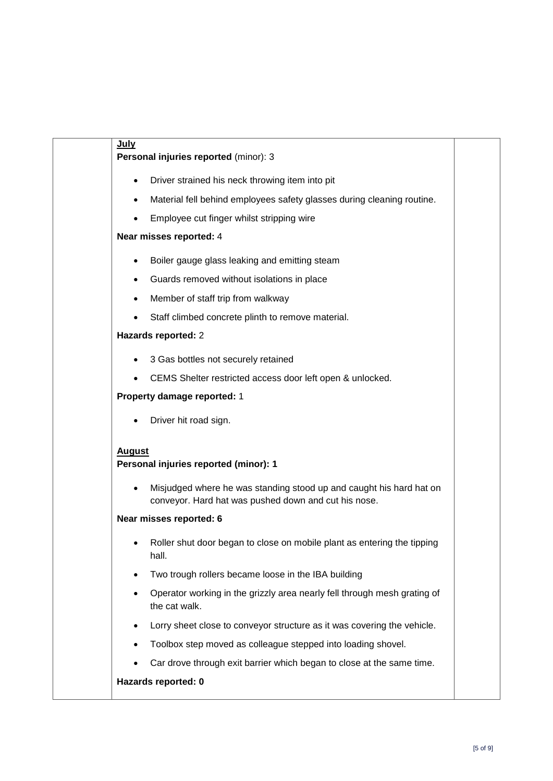| <b>July</b>                                                                                                                 |  |
|-----------------------------------------------------------------------------------------------------------------------------|--|
| Personal injuries reported (minor): 3                                                                                       |  |
| Driver strained his neck throwing item into pit<br>$\bullet$                                                                |  |
| Material fell behind employees safety glasses during cleaning routine.<br>$\bullet$                                         |  |
| Employee cut finger whilst stripping wire<br>$\bullet$                                                                      |  |
| Near misses reported: 4                                                                                                     |  |
| Boiler gauge glass leaking and emitting steam<br>٠                                                                          |  |
| Guards removed without isolations in place<br>٠                                                                             |  |
| Member of staff trip from walkway<br>٠                                                                                      |  |
| Staff climbed concrete plinth to remove material.                                                                           |  |
| Hazards reported: 2                                                                                                         |  |
| 3 Gas bottles not securely retained                                                                                         |  |
| CEMS Shelter restricted access door left open & unlocked.                                                                   |  |
| Property damage reported: 1                                                                                                 |  |
| Driver hit road sign.                                                                                                       |  |
| <b>August</b><br>Personal injuries reported (minor): 1                                                                      |  |
| Misjudged where he was standing stood up and caught his hard hat on<br>conveyor. Hard hat was pushed down and cut his nose. |  |
| Near misses reported: 6                                                                                                     |  |
| Roller shut door began to close on mobile plant as entering the tipping<br>hall.                                            |  |
| Two trough rollers became loose in the IBA building<br>$\bullet$                                                            |  |
| Operator working in the grizzly area nearly fell through mesh grating of<br>the cat walk.                                   |  |
| Lorry sheet close to conveyor structure as it was covering the vehicle.<br>٠                                                |  |
| Toolbox step moved as colleague stepped into loading shovel.                                                                |  |
| Car drove through exit barrier which began to close at the same time.                                                       |  |
| Hazards reported: 0                                                                                                         |  |
|                                                                                                                             |  |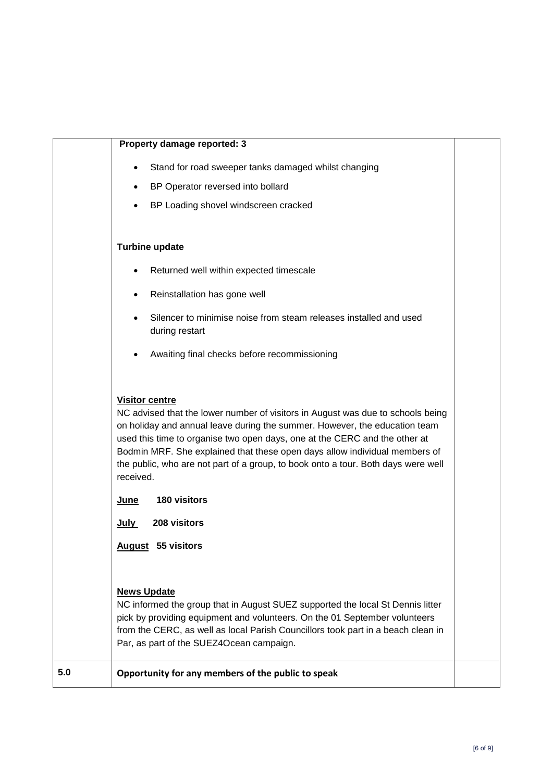|     | Property damage reported: 3                                                                                                                                                                                                                                                                                                                                                                                                                                                                                                              |  |
|-----|------------------------------------------------------------------------------------------------------------------------------------------------------------------------------------------------------------------------------------------------------------------------------------------------------------------------------------------------------------------------------------------------------------------------------------------------------------------------------------------------------------------------------------------|--|
|     | Stand for road sweeper tanks damaged whilst changing<br>$\bullet$<br>BP Operator reversed into bollard<br>BP Loading shovel windscreen cracked                                                                                                                                                                                                                                                                                                                                                                                           |  |
|     | <b>Turbine update</b>                                                                                                                                                                                                                                                                                                                                                                                                                                                                                                                    |  |
|     | Returned well within expected timescale                                                                                                                                                                                                                                                                                                                                                                                                                                                                                                  |  |
|     | Reinstallation has gone well<br>٠                                                                                                                                                                                                                                                                                                                                                                                                                                                                                                        |  |
|     | Silencer to minimise noise from steam releases installed and used<br>during restart                                                                                                                                                                                                                                                                                                                                                                                                                                                      |  |
|     | Awaiting final checks before recommissioning                                                                                                                                                                                                                                                                                                                                                                                                                                                                                             |  |
|     | <b>Visitor centre</b><br>NC advised that the lower number of visitors in August was due to schools being<br>on holiday and annual leave during the summer. However, the education team<br>used this time to organise two open days, one at the CERC and the other at<br>Bodmin MRF. She explained that these open days allow individual members of<br>the public, who are not part of a group, to book onto a tour. Both days were well<br>received.<br>180 visitors<br><u>June</u><br>208 visitors<br>July<br><b>August</b> 55 visitors |  |
|     | <b>News Update</b><br>NC informed the group that in August SUEZ supported the local St Dennis litter<br>pick by providing equipment and volunteers. On the 01 September volunteers<br>from the CERC, as well as local Parish Councillors took part in a beach clean in<br>Par, as part of the SUEZ4Ocean campaign.                                                                                                                                                                                                                       |  |
| 5.0 | Opportunity for any members of the public to speak                                                                                                                                                                                                                                                                                                                                                                                                                                                                                       |  |
|     |                                                                                                                                                                                                                                                                                                                                                                                                                                                                                                                                          |  |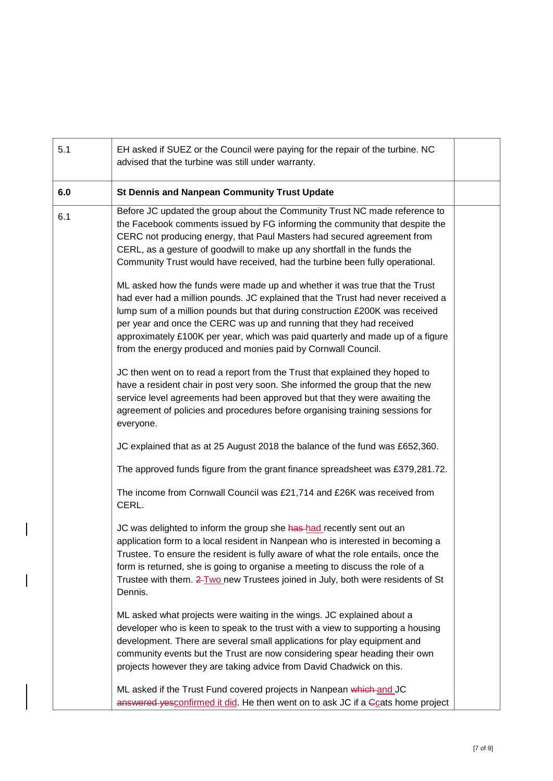| 5.1 | EH asked if SUEZ or the Council were paying for the repair of the turbine. NC<br>advised that the turbine was still under warranty.                                                                                                                                                                                                                                                                                                                                      |  |
|-----|--------------------------------------------------------------------------------------------------------------------------------------------------------------------------------------------------------------------------------------------------------------------------------------------------------------------------------------------------------------------------------------------------------------------------------------------------------------------------|--|
| 6.0 | <b>St Dennis and Nanpean Community Trust Update</b>                                                                                                                                                                                                                                                                                                                                                                                                                      |  |
| 6.1 | Before JC updated the group about the Community Trust NC made reference to<br>the Facebook comments issued by FG informing the community that despite the<br>CERC not producing energy, that Paul Masters had secured agreement from<br>CERL, as a gesture of goodwill to make up any shortfall in the funds the<br>Community Trust would have received, had the turbine been fully operational.                                                                         |  |
|     | ML asked how the funds were made up and whether it was true that the Trust<br>had ever had a million pounds. JC explained that the Trust had never received a<br>lump sum of a million pounds but that during construction £200K was received<br>per year and once the CERC was up and running that they had received<br>approximately £100K per year, which was paid quarterly and made up of a figure<br>from the energy produced and monies paid by Cornwall Council. |  |
|     | JC then went on to read a report from the Trust that explained they hoped to<br>have a resident chair in post very soon. She informed the group that the new<br>service level agreements had been approved but that they were awaiting the<br>agreement of policies and procedures before organising training sessions for<br>everyone.                                                                                                                                  |  |
|     | JC explained that as at 25 August 2018 the balance of the fund was £652,360.                                                                                                                                                                                                                                                                                                                                                                                             |  |
|     | The approved funds figure from the grant finance spreadsheet was £379,281.72.                                                                                                                                                                                                                                                                                                                                                                                            |  |
|     | The income from Cornwall Council was £21,714 and £26K was received from<br>CERL.                                                                                                                                                                                                                                                                                                                                                                                         |  |
|     | JC was delighted to inform the group she has-had recently sent out an<br>application form to a local resident in Nanpean who is interested in becoming a<br>Trustee. To ensure the resident is fully aware of what the role entails, once the<br>form is returned, she is going to organise a meeting to discuss the role of a<br>Trustee with them. 2 Two new Trustees joined in July, both were residents of St<br>Dennis.                                             |  |
|     | ML asked what projects were waiting in the wings. JC explained about a<br>developer who is keen to speak to the trust with a view to supporting a housing<br>development. There are several small applications for play equipment and<br>community events but the Trust are now considering spear heading their own<br>projects however they are taking advice from David Chadwick on this.                                                                              |  |
|     | ML asked if the Trust Fund covered projects in Nanpean which and JC<br>answered yesconfirmed it did. He then went on to ask JC if a Gcats home project                                                                                                                                                                                                                                                                                                                   |  |

 $\overline{\phantom{a}}$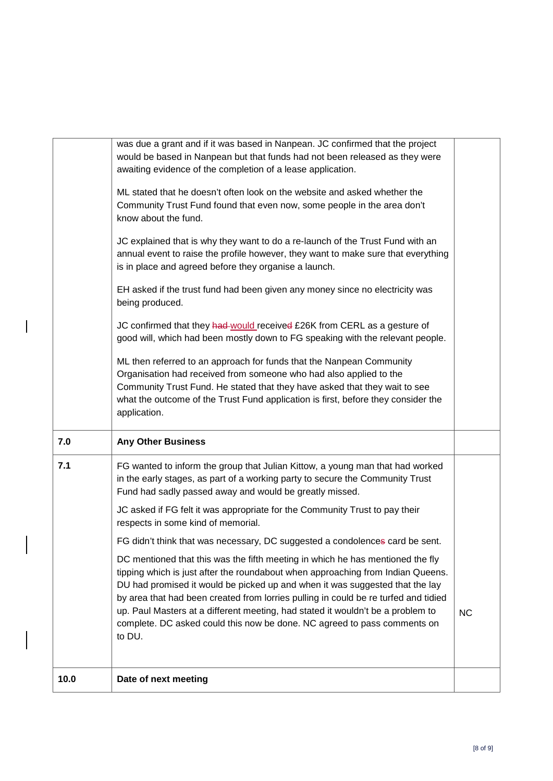|     | was due a grant and if it was based in Nanpean. JC confirmed that the project<br>would be based in Nanpean but that funds had not been released as they were<br>awaiting evidence of the completion of a lease application.                                                                                                                                                                                                                                                                             |           |
|-----|---------------------------------------------------------------------------------------------------------------------------------------------------------------------------------------------------------------------------------------------------------------------------------------------------------------------------------------------------------------------------------------------------------------------------------------------------------------------------------------------------------|-----------|
|     | ML stated that he doesn't often look on the website and asked whether the<br>Community Trust Fund found that even now, some people in the area don't<br>know about the fund.                                                                                                                                                                                                                                                                                                                            |           |
|     | JC explained that is why they want to do a re-launch of the Trust Fund with an<br>annual event to raise the profile however, they want to make sure that everything<br>is in place and agreed before they organise a launch.                                                                                                                                                                                                                                                                            |           |
|     | EH asked if the trust fund had been given any money since no electricity was<br>being produced.                                                                                                                                                                                                                                                                                                                                                                                                         |           |
|     | JC confirmed that they had would received £26K from CERL as a gesture of<br>good will, which had been mostly down to FG speaking with the relevant people.                                                                                                                                                                                                                                                                                                                                              |           |
|     | ML then referred to an approach for funds that the Nanpean Community<br>Organisation had received from someone who had also applied to the<br>Community Trust Fund. He stated that they have asked that they wait to see<br>what the outcome of the Trust Fund application is first, before they consider the<br>application.                                                                                                                                                                           |           |
| 7.0 | <b>Any Other Business</b>                                                                                                                                                                                                                                                                                                                                                                                                                                                                               |           |
| 7.1 | FG wanted to inform the group that Julian Kittow, a young man that had worked<br>in the early stages, as part of a working party to secure the Community Trust<br>Fund had sadly passed away and would be greatly missed.                                                                                                                                                                                                                                                                               |           |
|     | JC asked if FG felt it was appropriate for the Community Trust to pay their<br>respects in some kind of memorial.                                                                                                                                                                                                                                                                                                                                                                                       |           |
|     | FG didn't think that was necessary, DC suggested a condolences card be sent.                                                                                                                                                                                                                                                                                                                                                                                                                            |           |
|     | DC mentioned that this was the fifth meeting in which he has mentioned the fly<br>tipping which is just after the roundabout when approaching from Indian Queens.<br>DU had promised it would be picked up and when it was suggested that the lay<br>by area that had been created from lorries pulling in could be re turfed and tidied<br>up. Paul Masters at a different meeting, had stated it wouldn't be a problem to<br>complete. DC asked could this now be done. NC agreed to pass comments on | <b>NC</b> |
|     | to DU.                                                                                                                                                                                                                                                                                                                                                                                                                                                                                                  |           |

 $\begin{array}{c} \rule{0pt}{2.5ex} \rule{0pt}{2.5ex} \rule{0pt}{2.5ex} \rule{0pt}{2.5ex} \rule{0pt}{2.5ex} \rule{0pt}{2.5ex} \rule{0pt}{2.5ex} \rule{0pt}{2.5ex} \rule{0pt}{2.5ex} \rule{0pt}{2.5ex} \rule{0pt}{2.5ex} \rule{0pt}{2.5ex} \rule{0pt}{2.5ex} \rule{0pt}{2.5ex} \rule{0pt}{2.5ex} \rule{0pt}{2.5ex} \rule{0pt}{2.5ex} \rule{0pt}{2.5ex} \rule{0pt}{2.5ex} \rule{0$ 

 $\overline{\phantom{a}}$